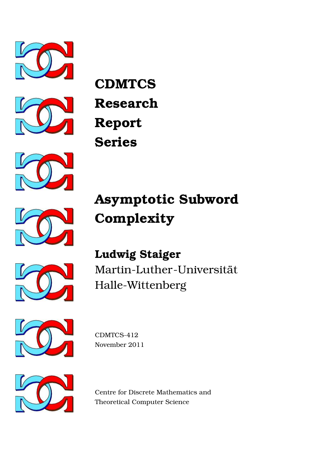



**CDMTCS Research Report Series**



# **Asymptotic Subword Complexity**





**Ludwig Staiger** Martin-Luther-Universität Halle-Wittenberg



CDMTCS-412 November 2011



Centre for Discrete Mathematics and Theoretical Computer Science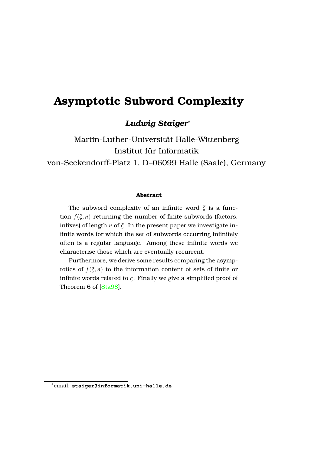# **Asymptotic Subword Complexity**

# *Ludwig Staiger*<sup>∗</sup>

```
Martin-Luther-Universitat Halle-Wittenberg ¨
                 Institut für Informatik
von-Seckendorff-Platz 1, D–06099 Halle (Saale), Germany
```
#### **Abstract**

The subword complexity of an infinite word *ξ* is a function  $f(\xi, n)$  returning the number of finite subwords (factors, infixes) of length *n* of *ξ*. In the present paper we investigate infinite words for which the set of subwords occurring infinitely often is a regular language. Among these infinite words we characterise those which are eventually recurrent.

Furthermore, we derive some results comparing the asymptotics of  $f(\xi, n)$  to the information content of sets of finite or infinite words related to *ξ*. Finally we give a simplified proof of Theorem 6 of [\[Sta98\]](#page-17-0).

<sup>∗</sup>email: **staiger@informatik.uni-halle.de**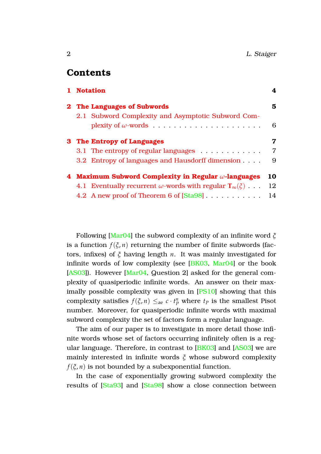# **Contents**

| 1 Notation                                                              | 4              |
|-------------------------------------------------------------------------|----------------|
| 2 The Languages of Subwords                                             | 5              |
| 2.1 Subword Complexity and Asymptotic Subword Com-                      |                |
|                                                                         | 6              |
| 3 The Entropy of Languages                                              | 7              |
| 3.1 The entropy of regular languages                                    | $\overline{7}$ |
| 3.2 Entropy of languages and Hausdorff dimension                        | 9              |
| 4 Maximum Subword Complexity in Regular $\omega$ -languages             | 10             |
| 4.1 Eventually recurrent $\omega$ -words with regular $T_{\infty}(\xi)$ | 12             |
| 4.2 A new proof of Theorem 6 of [Sta98]                                 | 14             |
|                                                                         |                |

Following [\[Mar04\]](#page-16-0) the subword complexity of an infinite word *ξ* is a function  $f(\xi, n)$  returning the number of finite subwords (factors, infixes) of *ξ* having length *n*. It was mainly investigated for infinite words of low complexity (see [\[BK03,](#page-15-0) [Mar04\]](#page-16-0) or the book [\[AS03\]](#page-15-1)). However [\[Mar04,](#page-16-0) Question 2] asked for the general complexity of quasiperiodic infinite words. An answer on their maximally possible complexity was given in [\[PS10\]](#page-16-1) showing that this complexity satisfies  $f(\xi, n) \leq_{\text{ae}} c \cdot t_p^n$  where  $t_p$  is the smallest Pisot number. Moreover, for quasiperiodic infinite words with maximal subword complexity the set of factors form a regular language.

The aim of our paper is to investigate in more detail those infinite words whose set of factors occurring infinitely often is a regular language. Therefore, in contrast to [\[BK03\]](#page-15-0) and [\[AS03\]](#page-15-1) we are mainly interested in infinite words *ξ* whose subword complexity  $f(\xi, n)$  is not bounded by a subexponential function.

In the case of exponentially growing subword complexity the results of [\[Sta93\]](#page-16-2) and [\[Sta98\]](#page-17-0) show a close connection between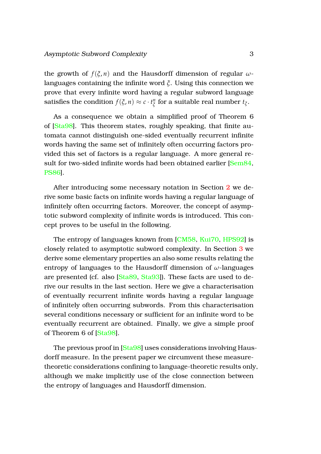the growth of  $f(\xi, n)$  and the Hausdorff dimension of regular  $\omega$ languages containing the infinite word *ξ*. Using this connection we prove that every infinite word having a regular subword language satisfies the condition  $f(\xi, n) \approx c \cdot t_{\xi}^n$ *ξ* for a suitable real number *t<sup>ξ</sup>* .

As a consequence we obtain a simplified proof of Theorem 6 of [\[Sta98\]](#page-17-0). This theorem states, roughly speaking, that finite automata cannot distinguish one-sided eventually recurrent infinite words having the same set of infinitely often occurring factors provided this set of factors is a regular language. A more general re-sult for two-sided infinite words had been obtained earlier [\[Sem84,](#page-16-3)] [PS86\]](#page-16-4).

After introducing some necessary notation in Section [2](#page-5-0) we derive some basic facts on infinite words having a regular language of infinitely often occurring factors. Moreover, the concept of asymptotic subword complexity of infinite words is introduced. This concept proves to be useful in the following.

The entropy of languages known from [\[CM58,](#page-15-2) [Kui70,](#page-16-5) [HPS92\]](#page-15-3) is closely related to asymptotic subword complexity. In Section [3](#page-7-0) we derive some elementary properties an also some results relating the entropy of languages to the Hausdorff dimension of *ω*-languages are presented (cf. also [\[Sta89,](#page-16-6) [Sta93\]](#page-16-2)). These facts are used to derive our results in the last section. Here we give a characterisation of eventually recurrent infinite words having a regular language of infinitely often occurring subwords. From this characterisation several conditions necessary or sufficient for an infinite word to be eventually recurrent are obtained. Finally, we give a simple proof of Theorem 6 of [\[Sta98\]](#page-17-0).

The previous proof in [\[Sta98\]](#page-17-0) uses considerations involving Hausdorff measure. In the present paper we circumvent these measuretheoretic considerations confining to language-theoretic results only, although we make implicitly use of the close connection between the entropy of languages and Hausdorff dimension.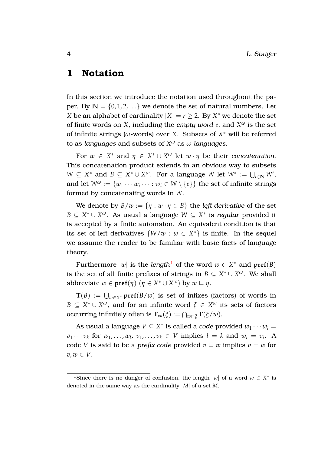# <span id="page-4-0"></span>**1 Notation**

In this section we introduce the notation used throughout the paper. By  $N = \{0, 1, 2, ...\}$  we denote the set of natural numbers. Let *X* be an alphabet of cardinality  $|X| = r \geq 2$ . By  $X^*$  we denote the set of finite words on *X*, including the *empty word*  $e$ , and  $X^{\omega}$  is the set of infinite strings ( $\omega$ -words) over *X*. Subsets of  $X^*$  will be referred to as *languages* and subsets of *X <sup>ω</sup>* as *ω-languages*.

For  $w \in X^*$  and  $\eta \in X^* \cup X^{\omega}$  let  $w \cdot \eta$  be their *concatenation*. This concatenation product extends in an obvious way to subsets  $W \subseteq X^*$  and  $B \subseteq X^* \cup X^{\omega}$ . For a language *W* let  $W^* := \bigcup_{i \in \mathbb{N}} W^i$ , and let  $W^\omega := \{w_1 \cdots w_i \cdots : w_i \in W \setminus \{e\}\}$  the set of infinite strings formed by concatenating words in *W*.

We denote by  $B/w := \{ \eta : w \cdot \eta \in B \}$  the *left derivative* of the set  $B \subseteq X^* \cup X^\omega$ . As usual a language  $W \subseteq X^*$  is *regular* provided it is accepted by a finite automaton. An equivalent condition is that its set of left derivatives  $\{W/w : w \in X^*\}$  is finite. In the sequel we assume the reader to be familiar with basic facts of language theory.

Furthermore  $|w|$  is the *length*<sup>[1](#page-4-1)</sup> of the word  $w \in X^*$  and  $\text{pref}(B)$ is the set of all finite prefixes of strings in  $B \subseteq X^* \cup X^{\omega}$ . We shall abbreviate  $w \in \text{pref}(\eta)$   $(\eta \in X^* \cup X^{\omega})$  by  $w \sqsubseteq \eta$ .

 $\mathbf{T}(B) := \bigcup_{w \in X^*} \mathbf{pref}(B/w)$  is set of infixes (factors) of words in  $B \subseteq X^* \cup X^\omega$ , and for an infinite word  $\xi \in X^\omega$  its sets of factors  $\mathrm{occurring}$  infinitely often is  $\mathbf{T}_{\infty}(\xi) := \bigcap_{w \sqsubset \xi} \mathbf{T}(\xi/w).$ 

As usual a language  $V \subseteq X^*$  is called a *code* provided  $w_1 \cdots w_l =$  $v_1 \cdots v_k$  for  $w_1, \ldots, w_l, v_1, \ldots, v_k \in V$  implies  $l = k$  and  $w_i = v_i$ . A code *V* is said to be a *prefix code* provided  $v \subseteq w$  implies  $v = w$  for  $v, w \in V$ .

<span id="page-4-1"></span><sup>&</sup>lt;sup>1</sup>Since there is no danger of confusion, the length  $|w|$  of a word  $w \in X^*$  is denoted in the same way as the cardinality |*M*| of a set *M*.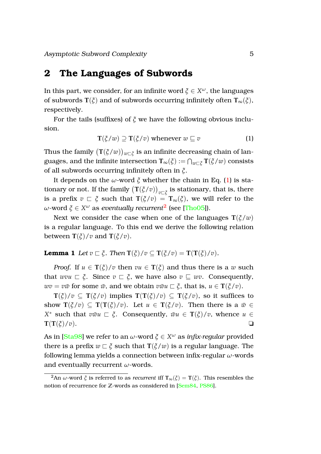# <span id="page-5-0"></span>**2 The Languages of Subwords**

In this part, we consider, for an infinite word  $\xi \in X^\omega$ , the languages of subwords **T**( $\zeta$ ) and of subwords occurring infinitely often **T**<sub>∞</sub>( $\zeta$ ), respectively.

For the tails (suffixes) of *ξ* we have the following obvious inclusion.

<span id="page-5-1"></span>
$$
\mathbf{T}(\xi/w) \supseteq \mathbf{T}(\xi/v) \text{ whenever } w \sqsubseteq v \tag{1}
$$

Thus the family  $(\mathbf{T}(\xi/w))_{w\sqsubset \xi}$  is an infinite decreasing chain of languages, and the infinite intersection  $\mathbf{T}_\infty(\tilde{\zeta}):=\bigcap_{w\sqsubset\tilde{\zeta}}\mathbf{T}(\tilde{\zeta}/w)$  consists of all subwords occurring infinitely often in *ξ*.

It depends on the *ω*-word *ξ* whether the chain in Eq. [\(1\)](#page-5-1) is stationary or not. If the family  $(\mathbf{T}(\xi/v))_{v\sqsubset \xi}$  is stationary, that is, there is a prefix  $v \text{ }\subset \xi$  such that  $\text{T}(\xi/v) = \text{T}_\infty(\xi)$ , we will refer to the  $ω$ -word  $ξ ∈ X<sup>ω</sup>$  as *eventually recurrent*<sup>[2](#page-5-2)</sup> (see [\[Tho05\]](#page-17-1)).

Next we consider the case when one of the languages  $T(\xi/w)$ is a regular language. To this end we derive the following relation between  $\mathbf{T}(\xi)/v$  and  $\mathbf{T}(\xi/v)$ .

**Lemma 1** *Let*  $v \rightharpoonup \zeta$ *. Then*  $\mathbf{T}(\zeta)/v \rightharpoonup \mathbf{T}(\zeta/v) = \mathbf{T}(\mathbf{T}(\zeta)/v)$ *.* 

*Proof.* If  $u \in T(\xi)/v$  then  $vu \in T(\xi)$  and thus there is a w such that  $wvu \sqsubset \xi$ . Since  $v \sqsubset \xi$ , we have also  $v \sqsubseteq wv$ . Consequently,  $wv = v\bar{w}$  for some  $\bar{w}$ , and we obtain  $v\bar{w}u \sqsubset \tilde{\zeta}$ , that is,  $u \in \mathbf{T}(\tilde{\zeta}/v)$ .

**T**(*ξ*)/*v* ⊆ **T**(*ξ*/*v*) implies **T**(**T**(*ξ*)/*v*) ⊆ **T**(*ξ*/*v*), so it suffices to show  $T(\xi/v) \subseteq T(T(\xi)/v)$ . Let  $u \in T(\xi/v)$ . Then there is a  $\bar{w} \in$ *X*<sup>\*</sup> such that  $v\bar{w}u \subset \xi$ . Consequently,  $\bar{w}u \in \mathbf{T}(\xi)/v$ , whence  $u \in$  $\mathbf{T}(\mathbf{T}(\xi)/v)$ .

As in [\[Sta98\]](#page-17-0) we refer to an *ω*-word *ξ* ∈ *X <sup>ω</sup>* as *infix-regular* provided there is a prefix  $w \nightharpoonup \xi$  such that  $\mathbf{T}(\xi/w)$  is a regular language. The following lemma yields a connection between infix-regular *ω*-words and eventually recurrent *ω*-words.

<span id="page-5-2"></span><sup>&</sup>lt;sup>2</sup>An *ω*-word  $\zeta$  is referred to as *recurrent* iff  $T_{\infty}(\zeta) = T(\zeta)$ . This resembles the notion of recurrence for **Z**-words as considered in [\[Sem84,](#page-16-3) [PS86\]](#page-16-4).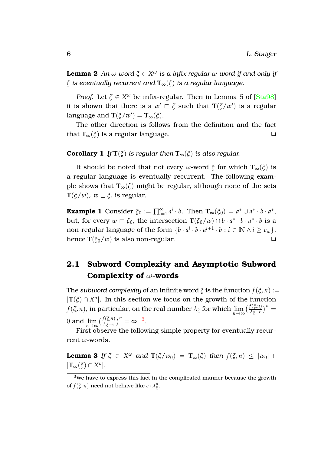**Lemma 2** *An ω-word ξ* ∈ *X <sup>ω</sup> is a infix-regular ω-word if and only if ξ is eventually recurrent and* **T**∞(*ξ*) *is a regular language.*

*Proof.* Let *ξ* ∈ *X <sup>ω</sup>* be infix-regular. Then in Lemma 5 of [\[Sta98\]](#page-17-0) it is shown that there is a  $w' \sqsubset \xi$  such that  $\mathbf{T}(\xi/w')$  is a regular language and  $\mathbf{T}(\xi/w') = \mathbf{T}_\infty(\xi)$ .

The other direction is follows from the definition and the fact that  $\mathbf{T}_{\infty}(\xi)$  is a regular language.  $\Box$ 

#### **Corollary 1** *If*  $T(\xi)$  *is regular then*  $T_{\infty}(\xi)$  *is also regular.*

It should be noted that not every *ω*-word  $\zeta$  for which  $\mathbf{T}_{\infty}(\zeta)$  is a regular language is eventually recurrent. The following example shows that  $T_{\infty}(\xi)$  might be regular, although none of the sets **T**( $\xi/w$ ),  $w \sqsubset \xi$ , is regular.

<span id="page-6-3"></span>**Example 1** Consider  $\xi_0 := \prod_{i=1}^{\infty} a^i \cdot b$ . Then  $\mathbf{T}_{\infty}(\xi_0) = a^* \cup a^* \cdot b \cdot a^*$ , but, for every  $w \sqsubset \xi_0$ , the intersection  $\mathbf{T}(\xi_0/w) \cap b \cdot a^* \cdot b \cdot a^* \cdot b$  is a non-regular language of the form  $\{b \cdot a^i \cdot b \cdot a^{i+1} \cdot b : i \in \mathbb{N} \wedge i \geq c_w\},$ hence  $\mathbf{T}(\xi_0/w)$  is also non-regular.  $\Box$ 

# <span id="page-6-0"></span>**2.1 Subword Complexity and Asymptotic Subword Complexity of** *ω***-words**

The *subword complexity* of an infinite word  $\zeta$  is the function  $f(\zeta, n) :=$  $|T(\xi) \cap X^n|$ . In this section we focus on the growth of the function *f*(*ξ*, *n*), in particular, on the real number  $\lambda_{\xi}$  for which  $\lim_{n\to\infty} \left(\frac{f(\xi,n)}{\lambda_{\xi}+\varepsilon}\right)^n$  = 0 and  $\lim_{n \to \infty} \left( \frac{f(\xi, n)}{\lambda_{\xi} - \varepsilon} \right)^n = \infty$ . [3](#page-6-1).

<span id="page-6-2"></span>First observe the following simple property for eventually recurrent *ω*-words.

**Lemma 3** *If*  $\xi \in X^{\omega}$  *and*  $\mathbf{T}(\xi/w_0) = \mathbf{T}_{\infty}(\xi)$  *then*  $f(\xi,n) \leq |w_0| +$  $|{\bf T}_{\infty}(\xi) \cap X^n|.$ 

<span id="page-6-1"></span><sup>&</sup>lt;sup>3</sup>We have to express this fact in the complicated manner because the growth of *f*( $\xi$ , *n*) need not behave like  $c \cdot \lambda_{\xi}^n$ .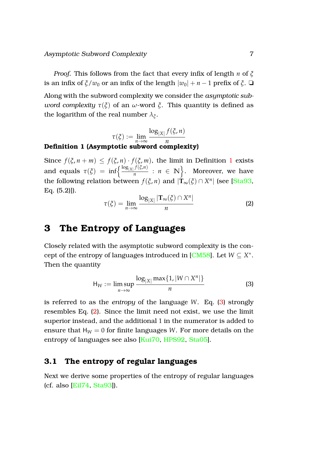*Proof.* This follows from the fact that every infix of length *n* of *ξ* is an infix of  $\zeta/w_0$  or an infix of the length  $|w_0| + n - 1$  prefix of  $\zeta$ .  $\Box$ Along with the subword complexity we consider the *asymptotic subword complexity*  $\tau(\xi)$  of an *ω*-word  $\xi$ . This quantity is defined as the logarithm of the real number *λ<sup>ξ</sup>* .

$$
\tau(\xi) := \lim_{n \to \infty} \frac{\log_{|X|} f(\xi, n)}{n}
$$
 Definition 1 (Asymptotic subword complexity)

Since  $f(\xi, n+m) \leq f(\xi, n) \cdot f(\xi, m)$ , the limit in Definition [1](#page-7-2) exists and equals  $\tau(\xi) = \inf \left\{ \frac{\log_{|X|} f(\xi, n)}{n} \right\}$  $\left\{\frac{f(\zeta,n)}{n} : n \in \mathbb{N}\right\}$ . Moreover, we have the following relation between  $f(\xi, n)$  and  $|\mathbf{T}_{\infty}(\xi) \cap X^n|$  (see [\[Sta93,](#page-16-2) Eq. (5.2)]).

<span id="page-7-4"></span><span id="page-7-2"></span>
$$
\tau(\xi) = \lim_{n \to \infty} \frac{\log_{|X|} |\mathbf{T}_{\infty}(\xi) \cap X^n|}{n}
$$
 (2)

# <span id="page-7-0"></span>**3 The Entropy of Languages**

Closely related with the asymptotic subword complexity is the con-cept of the entropy of languages introduced in [\[CM58\]](#page-15-2). Let  $W \subseteq X^*$ . Then the quantity

<span id="page-7-3"></span>
$$
H_W := \limsup_{n \to \infty} \frac{\log_{|X|} \max\{1, |W \cap X^n|\}}{n}
$$
 (3)

is referred to as the *entropy* of the language *W*. Eq. [\(3\)](#page-7-3) strongly resembles Eq. [\(2\)](#page-7-4). Since the limit need not exist, we use the limit superior instead, and the additional 1 in the numerator is added to ensure that  $H_W = 0$  for finite languages *W*. For more details on the entropy of languages see also [\[Kui70,](#page-16-5) [HPS92,](#page-15-3) [Sta05\]](#page-17-2).

## <span id="page-7-1"></span>**3.1 The entropy of regular languages**

Next we derive some properties of the entropy of regular languages (cf. also [\[Eil74,](#page-15-4) [Sta93\]](#page-16-2)).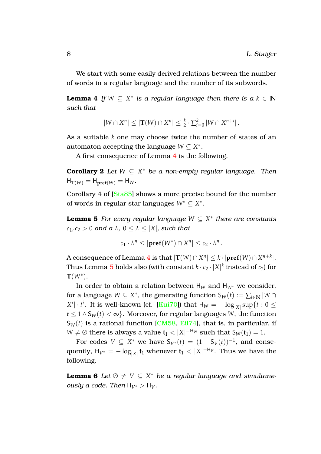We start with some easily derived relations between the number of words in a regular language and the number of its subwords.

**Lemma 4** *If*  $W \subseteq X^*$  *is a regular language then there is a*  $k \in \mathbb{N}$ *such that*

<span id="page-8-2"></span><span id="page-8-0"></span>
$$
|W \cap X^n| \leq |\mathbf{T}(W) \cap X^n| \leq \frac{k}{2} \cdot \sum_{i=0}^k |W \cap X^{n+i}|.
$$

As a suitable *k* one may choose twice the number of states of an automaton accepting the language  $W \subseteq X^*$ .

A first consequence of Lemma [4](#page-8-0) is the following.

**Corollary 2** *Let W* ⊆ *X* <sup>∗</sup> *be a non-empty regular language. Then*  $H_{\mathbf{T}(W)} = H_{\mathbf{pref}(W)} = H_W$ .

Corollary 4 of [\[Sta85\]](#page-16-7) shows a more precise bound for the number of words in regular star languages *W*<sup>∗</sup> ⊆ *X* ∗ .

**Lemma 5** *For every regular language W* ⊆ *X* ∗ *there are constants*  $c_1, c_2 > 0$  *and a*  $\lambda$ ,  $0 \leq \lambda \leq |X|$ , *such that* 

<span id="page-8-1"></span>
$$
c_1 \cdot \lambda^n \leq |\mathbf{pref}(W^*) \cap X^n| \leq c_2 \cdot \lambda^n.
$$

A consequence of Lemma [4](#page-8-0) is that  $|\textbf{T}(W) \cap X^n| \leq k \cdot |\textbf{pref}(W) \cap X^{n+k}|.$ Thus Lemma  $\bf 5$  $\bf 5$  holds also (with constant  $k\cdot c_2\cdot |X|^k$  instead of  $c_2$ ) for **T**(*W*<sup>∗</sup> ).

In order to obtain a relation between H*<sup>W</sup>* and H*W*<sup>∗</sup> we consider, for a language  $W \subseteq X^*$ , the generating function  $S_W(t) := \sum_{i \in \mathbb{N}} |W \cap$  $X^i|\cdot t^i$ . It is well-known (cf. [\[Kui70\]](#page-16-5)) that  $\textsf{H}_W=-\log_{|X|}\sup\{t:0\leq t\}$ *t* ≤ 1 ∧ S<sub>*W*</sub>(*t*) < ∞}. Moreover, for regular languages *W*, the function  $S_W(t)$  is a rational function [\[CM58,](#page-15-2) [Eil74\]](#page-15-4), that is, in particular, if  $W \neq \emptyset$  there is always a value  $\mathbf{t}_1 < |X|^{-H_W}$  such that  $S_W(\mathbf{t}_1) = 1$ .

<span id="page-8-3"></span>For codes  $V \subseteq X^*$  we have  $S_{V^*}(t) = (1 - S_V(t))^{-1}$ , and consequently,  $H_{V^*} = -\log_{|X|} \mathbf{t}_1$  whenever  $\mathbf{t}_1 < |X|^{-H_V}$ . Thus we have the following.

**Lemma 6** *Let*  $\emptyset \neq V \subseteq X^*$  *be a regular language and simultaneously a code. Then*  $H_{V^*} > H_V$ *.*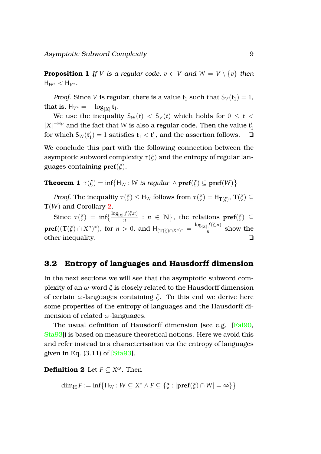<span id="page-9-2"></span>**Proposition 1** *If V is a regular code,*  $v \in V$  *and*  $W = V \setminus \{v\}$  *then*  $H_{W^*} < H_{V^*}$ .

*Proof.* Since *V* is regular, there is a value  $t_1$  such that  $S_V(t_1) = 1$ , that is,  $H_{V^*} = -\log_{|X|} t_1$ .

We use the inequality  $S_W(t) < S_V(t)$  which holds for  $0 \le t <$  $|X|^{-H_V}$  and the fact that *W* is also a regular code. Then the value  $t'$ 1 for which  $\mathsf{S}_W(\mathsf{t}_1')$  $\mathbf{t}'_1$ ) = 1 satisfies  $\mathbf{t}_1 < \mathbf{t}'_1$  $\frac{1}{1}$ , and the assertion follows.  $\Box$ 

<span id="page-9-1"></span>We conclude this part with the following connection between the asymptotic subword complexity  $\tau(\xi)$  and the entropy of regular languages containing **pref**(*ξ*).

**Theorem 1**  $\tau(\xi) = \inf \{ H_W : W \text{ is regular } \wedge \text{pref}(\xi) \subseteq \text{pref}(W) \}$ 

*Proof.* The inequality  $\tau(\xi) \leq H_W$  follows from  $\tau(\xi) = H_{\mathbf{T}(\xi)}$ ,  $\mathbf{T}(\xi) \subseteq$ **T**(*W*) and Corollary [2.](#page-8-2)

Since  $\tau(\xi) = \inf \left\{ \frac{\log_{|X|} f(\xi, n)}{n} \right\}$  $\frac{f(\xi,n)}{n}$  :  $n \in \mathbb{N}$ , the relations  $pref(\xi) \subseteq$  $\mathbf{pref}((\mathbf{T}(\xi)\cap X^n)^*)$ , for  $n>0$ , and  $\mathsf{H}_{(\mathbf{T}(\xi)\cap X^n)^*}=\frac{\log_{|X|}f(\xi,n)}{n}$  $\frac{f(s)}{n}$  show the other inequality. ❏

## <span id="page-9-0"></span>**3.2 Entropy of languages and Hausdorff dimension**

In the next sections we will see that the asymptotic subword complexity of an *ω*-word *ξ* is closely related to the Hausdorff dimension of certain *ω*-languages containing *ξ*. To this end we derive here some properties of the entropy of languages and the Hausdorff dimension of related *ω*-languages.

The usual definition of Hausdorff dimension (see e.g. [\[Fal90,](#page-15-5) [Sta93\]](#page-16-2)) is based on measure theoretical notions. Here we avoid this and refer instead to a characterisation via the entropy of languages given in Eq.  $(3.11)$  of  $[Sta93]$ .

**Definition 2** Let *F* ⊆ *X <sup>ω</sup>*. Then

$$
\dim_{\mathrm{H}} F := \inf \{ \mathsf{H}_W : W \subseteq X^* \wedge F \subseteq \{ \xi : |\mathbf{pref}(\xi) \cap W| = \infty \} \}
$$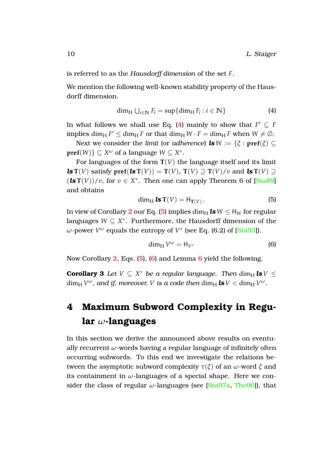is referred to as the *Hausdorff dimension* of the set *F*.

We mention the following well-known stability property of the Hausdorff dimension.

<span id="page-10-1"></span>
$$
\dim_{\mathrm{H}} \bigcup_{i \in \mathbb{N}} F_i = \sup \{ \dim_{\mathrm{H}} F_i : i \in \mathbb{N} \}
$$
\n(4)

In what follows we shall use Eq. [\(4\)](#page-10-1) mainly to show that  $F' \subseteq F$ implies  $\dim_\text{H} F' \leq \dim_\text{H} F$  or that  $\dim_\text{H} W \cdot F = \dim_\text{H} F$  when  $W \neq \emptyset$ .

Next we consider the *limit* (or *adherence*) *ls*  $W := \{ \xi : \text{pref}(\xi) \subseteq$  $\text{pref}(W)$ }  $\subseteq X^{\omega}$  of a language  $W \subseteq X^*$ .

For languages of the form  $T(V)$  the language itself and its limit *ls* **T**(*V*) satisfy **pref**(*ls* **T**(*V*)) = **T**(*V*), **T**(*V*)  $\supset$  **T**(*V*)/*v* and *ls* **T**(*V*)  $\supset$  $(\text{ls } T(V))/v$ , for  $v \in X^*$ . Then one can apply Theorem 6 of [\[Sta89\]](#page-16-6) and obtains

<span id="page-10-2"></span>
$$
\dim_{\mathrm{H}} \mathbf{ls} \mathbf{T}(V) = \mathsf{H}_{\mathbf{T}(V)}.
$$
\n(5)

In view of Corollary [2](#page-8-2) our Eq. [\(5\)](#page-10-2) implies  $\dim_H \text{ls} W \leq H_W$  for regular languages  $W \subseteq X^*$ . Furthermore, the Hausdorff dimension of the *ω*-power *V<sup>ω</sup>* equals the entropy of *V*<sup>∗</sup> (see Eq. (6.2) of [\[Sta93\]](#page-16-2)).

<span id="page-10-4"></span><span id="page-10-3"></span>
$$
\dim_{\mathrm{H}} V^{\omega} = \mathsf{H}_{V^*} \tag{6}
$$

Now Corollary [2,](#page-8-2) Eqs. [\(5\)](#page-10-2), [\(6\)](#page-10-3) and Lemma [6](#page-8-3) yield the following.

**Corollary 3** *Let*  $V \subseteq X^*$  *be a regular language. Then*  $\dim_H \textbf{ls} V \leq$  $\dim_\text{H} V^\omega$ , and if, moreover, V is a code then  $\dim_\text{H} \textbf{ls} V < \dim_\text{H} V^\omega$ .

# <span id="page-10-0"></span>**4 Maximum Subword Complexity in Regular** *ω***-languages**

In this section we derive the announced above results on eventually recurrent *ω*-words having a regular language of infinitely often occurring subwords. To this end we investigate the relations between the asymptotic subword complexity *τ*(*ξ*) of an *ω*-word *ξ* and its containment in  $\omega$ -languages of a special shape. Here we consider the class of regular *ω*-languages (see [\[Sta97a,](#page-16-8) [Tho90\]](#page-17-3)), that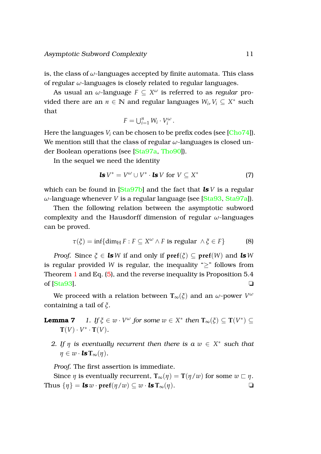is, the class of *ω*-languages accepted by finite automata. This class of regular *ω*-languages is closely related to regular languages.

As usual an  $\omega$ -language  $F \subseteq X^\omega$  is referred to as *regular* provided there are an  $n \in \mathbb{N}$  and regular languages  $W_i, V_i \subseteq X^*$  such that

$$
F=\bigcup_{i=1}^n W_i\cdot V_i^{\omega}.
$$

Here the languages  $V_i$  can be chosen to be prefix codes (see [\[Cho74\]](#page-15-6)). We mention still that the class of regular *ω*-languages is closed under Boolean operations (see [\[Sta97a,](#page-16-8) [Tho90\]](#page-17-3)).

In the sequel we need the identity

<span id="page-11-3"></span>**ls** 
$$
V^* = V^\omega \cup V^* \cdot \text{ls } V \text{ for } V \subseteq X^*
$$
 (7)

which can be found in [\[Sta97b\]](#page-17-4) and the fact that *ls V* is a regular *ω*-language whenever *V* is a regular language (see [\[Sta93,](#page-16-2) [Sta97a\]](#page-16-8)).

Then the following relation between the asymptotic subword complexity and the Hausdorff dimension of regular *ω*-languages can be proved.

$$
\tau(\xi) = \inf\{\dim_{\mathrm{H}} F : F \subseteq X^{\omega} \wedge F \text{ is regular } \wedge \xi \in F\}
$$
 (8)

*Proof.* Since  $\xi \in \mathbf{ls}W$  if and only if  $\mathbf{pref}(\xi) \subseteq \mathbf{pref}(W)$  and  $\mathbf{ls}W$ is regular provided *W* is regular, the inequality " $\geq$ " follows from Theorem [1](#page-9-1) and Eq. [\(5\)](#page-10-2), and the reverse inequality is Proposition 5.4 of  $[Sta93]$ .

<span id="page-11-0"></span>We proceed with a relation between  $\mathbf{T}_\infty(\tilde{\zeta})$  and an  $\omega$ -power  $V^\omega$ containing a tail of *ξ*.

<span id="page-11-1"></span>**Lemma 7** 1. If 
$$
\xi \in w \cdot V^{\omega}
$$
 for some  $w \in X^*$  then  $\mathbf{T}_{\infty}(\xi) \subseteq \mathbf{T}(V^*) \subseteq \mathbf{T}(V) \cdot V^* \cdot \mathbf{T}(V)$ .

<span id="page-11-2"></span>*2.* If  $\eta$  is eventually recurrent then there is a  $w \in X^*$  such that  $\eta \in w \cdot \mathbf{l}$ s  $\mathbf{T}_{\infty}(\eta)$ .

*Proof.* The first assertion is immediate.

Since  $\eta$  is eventually recurrent,  $\mathbf{T}_{\infty}(\eta) = \mathbf{T}(\eta/w)$  for some  $w \sqsubset \eta$ . Thus  $\{\eta\} = \mathbf{ls} \, w \cdot \mathbf{pref}(\eta/w) \subseteq w \cdot \mathbf{ls} \, \mathbf{T}_{\infty}(\eta).$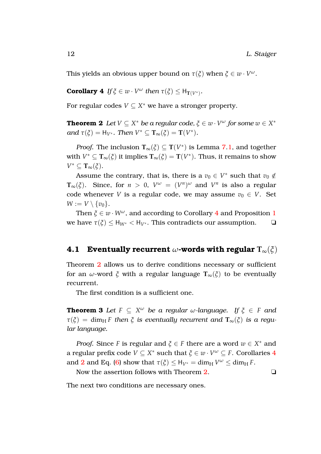<span id="page-12-1"></span>This yields an obvious upper bound on  $\tau(\xi)$  when  $\xi \in w \cdot V^{\omega}$ .

**Corollary 4** *If*  $\xi \in w \cdot V^{\omega}$  *then*  $\tau(\xi) \leq H_{T(V^*)}$ *.* 

<span id="page-12-2"></span>For regular codes  $V \subseteq X^*$  we have a stronger property.

**Theorem 2** Let  $V \subseteq X^*$  be a regular code,  $\xi \in w \cdot V^{\omega}$  for some  $w \in X^*$ *and*  $\tau(\xi) = H_{V^*}$ *. Then*  $V^* \subseteq T_\infty(\xi) = T(V^*)$ *.* 

*Proof.* The inclusion  $\mathbf{T}_{\infty}(\xi) \subseteq \mathbf{T}(V^*)$  is Lemma [7.](#page-11-0)[1,](#page-11-1) and together with  $V^* \subseteq T_\infty(\xi)$  it implies  $T_\infty(\xi) = T(V^*)$ . Thus, it remains to show *V* <sup>∗</sup> ⊆ **T**∞(*ξ*).

Assume the contrary, that is, there is a  $v_0 \in V^*$  such that  $v_0 \notin V$ **T**<sub>∞</sub>( $\zeta$ ). Since, for *n* > 0,  $V^{\omega} = (V^n)^{\omega}$  and  $V^n$  is also a regular code whenever *V* is a regular code, we may assume  $v_0 \in V$ . Set  $W := V \setminus \{v_0\}.$ 

Then  $\xi \in w \cdot W^{\omega}$ , and according to Corollary [4](#page-12-1) and Proposition [1](#page-9-2) we have  $\tau(\xi)$  < H<sub>W<sup>\*</sup></sub> < H<sub>V</sub><sup>\*</sup>. This contradicts our assumption.  $\Box$ 

## <span id="page-12-0"></span>**4.1 Eventually recurrent**  $\omega$ -words with regular  $T_{\infty}(\xi)$

Theorem [2](#page-12-2) allows us to derive conditions necessary or sufficient for an *ω*-word *ξ* with a regular language **T**∞(*ξ*) to be eventually recurrent.

The first condition is a sufficient one.

**Theorem 3** Let  $F \subseteq X^\omega$  be a regular  $\omega$ -language. If  $\xi \in F$  and  $\tau(\xi) = \dim_{\mathrm{H}} F$  *then*  $\xi$  *is eventually recurrent and*  $\mathbf{T}_{\infty}(\xi)$  *is a regular language.*

*Proof.* Since *F* is regular and  $\xi \in F$  there are a word  $w \in X^*$  and a regular prefix code  $V \subseteq X^*$  such that  $\zeta \in w \cdot V^\omega \subseteq F$ . Corollaries  $4$ and [2](#page-8-2) and Eq. [\(6\)](#page-10-3) show that  $\tau(\xi) \leq H_{V^*} = \dim_H V^\omega \leq \dim_H F$ .

Now the assertion follows with Theorem [2.](#page-12-2) <del>□</del>

<span id="page-12-4"></span><span id="page-12-3"></span>

The next two conditions are necessary ones.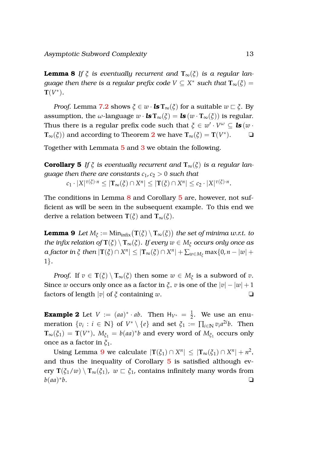Asymptotic Subword Complexity 13

**Lemma 8** *If*  $\xi$  *is eventually recurrent and*  $T_{\infty}(\xi)$  *is a regular lan* $g$ uage then there is a regular prefix code  $V\subseteq X^*$  such that  $\mathbf{T}_\infty(\xi)=0$  $\mathbf{T}(V^*)$ .

*Proof.* Lemma [7](#page-11-0)[.2](#page-11-2) shows  $\xi \in w \cdot \mathbf{ls} \mathbf{T}_{\infty}(\xi)$  for a suitable  $w \in \xi$ . By assumption, the *w*-language  $w \cdot \mathbf{ls} \mathbf{T}_{\infty}(\xi) = \mathbf{ls}(w \cdot \mathbf{T}_{\infty}(\xi))$  is regular. Thus there is a regular prefix code such that  $\xi \in w' \cdot V^{\omega} \subseteq \textbf{ls}(w \cdot w)$  $\mathbf{T}_{\infty}(\xi)$ ) and according to Theorem [2](#page-12-2) we have  $\mathbf{T}_{\infty}(\xi) = \mathbf{T}(V^*)$ . <del></del>

<span id="page-13-0"></span>Together with Lemmata [5](#page-8-1) and [3](#page-6-2) we obtain the following.

**Corollary 5** *If*  $\xi$  *is eventually recurrent and*  $T_{\infty}(\xi)$  *is a regular language then there are constants*  $c_1, c_2 > 0$  *such that*  $c_1 \cdot |X|^{\tau(\xi) \cdot n} \leq |\mathbf{T}_{\infty}(\xi) \cap X^n| \leq |\mathbf{T}(\xi) \cap X^n| \leq c_2 \cdot |X|^{\tau(\xi) \cdot n}.$ 

<span id="page-13-1"></span>The conditions in Lemma [8](#page-12-3) and Corollary [5](#page-13-0) are, however, not sufficient as will be seen in the subsequent example. To this end we derive a relation between **T**( $\zeta$ ) and **T**<sub>∞</sub>( $\zeta$ ).

 ${\bf Lemma~9\ \ }Let\ M_\xi:=\rm{Min}_{\rm infix}\big(T(\xi)\setminus T_\infty(\xi)\big)\ \textit{the set of minima w.r.t.\ to}$ *the infix relation of*  $T(\xi) \setminus T_\infty(\xi)$ *. If every*  $w \in M_\xi$  *occurs only once as*  $a$  factor in  $\xi$  then  $|\mathbf{T}(\xi) \cap X^n| \leq |\mathbf{T}_\infty(\xi) \cap X^n| + \sum_{w \in M_\xi} \max\{0,n-|w|+1\}$ 1}*.*

*Proof.* If  $v \in T(\xi) \setminus T_\infty(\xi)$  then some  $w \in M_\xi$  is a subword of  $v$ . Since *w* occurs only once as a factor in *ξ*, *v* is one of the  $|v| - |w| + 1$ factors of length |*v*| of *ξ* containing *w*. ❏

<span id="page-13-2"></span>**Example 2** Let  $V := (aa)^* \cdot ab$ . Then  $H_{V^*} = \frac{1}{2}$ . We use an enu- $\text{meration } \{v_i : i \in \mathbb{N}\} \text{ of } V^* \setminus \{e\} \text{ and set } \xi_1 := \prod_{i \in \mathbb{N}} v_i a^{2i} b. \text{ Then}$  $\mathbf{T}_{\infty}(\xi_1) = \mathbf{T}(V^*)$ ,  $M_{\xi_1} = b(aa)^*b$  and every word of  $M_{\xi_1}$  occurs only once as a factor in *ξ*1.

Using Lemma [9](#page-13-1) we calculate  $|\mathbf{T}(\xi_1) \cap X^n| \leq |\mathbf{T}_\infty(\xi_1) \cap X^n| + n^2$ , and thus the inequality of Corollary [5](#page-13-0) is satisfied although every  $\mathbf{T}(\xi_1/w) \setminus \mathbf{T}_\infty(\xi_1)$ ,  $w \in \xi_1$ , contains infinitely many words from *b*(*aa*) ∗  $b$ .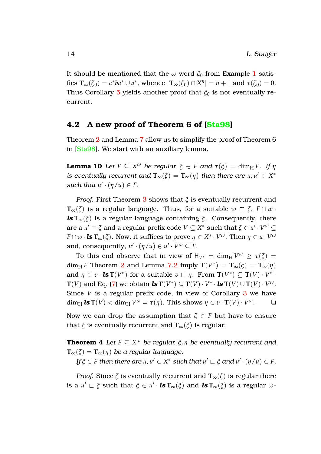It should be mentioned that the *ω*-word  $\zeta_0$  from Example [1](#page-6-3) satisfies  $\mathbf{T}_{\infty}(\xi_0) = a^*ba^* \cup a^*$ , whence  $|\mathbf{T}_{\infty}(\xi_0) \cap X^n| = n + 1$  and  $\tau(\xi_0) = 0$ . Thus Corollary [5](#page-13-0) yields another proof that  $\xi_0$  is not eventually recurrent.

#### <span id="page-14-0"></span>**4.2 A new proof of Theorem 6 of [\[Sta98\]](#page-17-0)**

<span id="page-14-1"></span>Theorem [2](#page-12-2) and Lemma [7](#page-11-0) allow us to simplify the proof of Theorem 6 in [\[Sta98\]](#page-17-0). We start with an auxiliary lemma.

**Lemma 10** *Let*  $F \subseteq X^\omega$  *be regular,*  $\xi \in F$  *and*  $\tau(\xi) = \dim_\text{H} F$ *. If*  $\eta$ *is eventually recurrent and*  $\mathbf{T}_{\infty}(\xi) = \mathbf{T}_{\infty}(\eta)$  *then there are*  $u, u' \in X^*$ *such that*  $u' \cdot (\eta/u) \in F$ *.* 

*Proof.* First Theorem [3](#page-12-4) shows that *ξ* is eventually recurrent and **T**<sub>∞</sub>( $\zeta$ ) is a regular language. Thus, for a suitable  $w \sqsubset \zeta$ ,  $F \cap w$ . *ls*  $T_{\infty}(\xi)$  is a regular language containing  $\xi$ . Consequently, there  $\alpha$  *u*'  $\subset \xi$  and a regular prefix code  $V \subseteq X^*$  such that  $\xi \in u' \cdot V^\omega \subseteq U$ *F*  $\cap$  *w* · *ls* **T<sub>∞</sub>(** $\xi$ **). Now, it suffices to prove**  $\eta \in X^* \cdot V^\omega$ **. Then**  $\eta \in u \cdot V^\omega$ and, consequently,  $u' \cdot (\eta/u) \in u' \cdot V^{\omega} \subseteq F$ .

To this end observe that in view of  $H_{V^*} = \dim_H V^\omega \ge \tau(\xi) =$ dim<sub>H</sub> *F* Theorem [2](#page-12-2) and Lemma [7](#page-11-0)[.2](#page-11-2) imply  $T(V^*) = T_{\infty}(\xi) = T_{\infty}(\eta)$ and  $\eta \in v \cdot \textbf{ls} \mathbf{T}(V^*)$  for a suitable  $v \subset \eta$ . From  $\mathbf{T}(V^*) \subseteq \mathbf{T}(V) \cdot V^*$ . **T**(*V*) and Eq. [\(7\)](#page-11-3) we obtain *ls*  $T(V^*) \subseteq T(V) \cdot V^* \cdot$  *ls*  $T(V) \cup T(V) \cdot V^{\omega}$ . Since *V* is a regular prefix code, in view of Corollary [3](#page-10-4) we have  $\dim_{\text{H}} \textbf{ls} \mathbf{T}(V) < \dim_{\text{H}} V^{\omega} = \tau(\eta)$ . This shows  $\eta \in v \cdot \mathbf{T}(V) \cdot V^{\omega}$ .  $\Box$ 

Now we can drop the assumption that  $\xi \in F$  but have to ensure that  $\xi$  is eventually recurrent and  $\mathbf{T}_{\infty}(\xi)$  is regular.

**Theorem 4** *Let F* ⊆ *X <sup>ω</sup> be regular, ξ*, *η be eventually recurrent and*  $T_{\infty}(\xi) = T_{\infty}(\eta)$  *be a regular language.* 

<span id="page-14-2"></span> $\iint \xi \in F$  *then there are*  $u, u' \in X^*$  *such that*  $u' \sqsubset \xi$  *and*  $u' \cdot (\eta/u) \in F$ *.* 

*Proof.* Since  $\zeta$  is eventually recurrent and  $\mathbf{T}_{\infty}(\zeta)$  is regular there is a  $u' \sqsubset \xi$  such that  $\xi \in u' \cdot \mathbf{ls} \mathbf{T}_{\infty}(\xi)$  and  $\mathbf{ls} \mathbf{T}_{\infty}(\xi)$  is a regular  $\omega$ -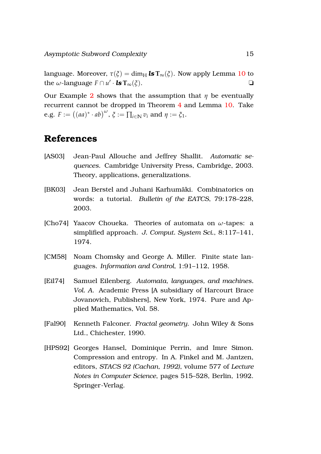language. Moreover,  $\tau(\xi) = \dim_H \textbf{ls} T_\infty(\xi)$ . Now apply Lemma [10](#page-14-1) to  $\mathbf{L}$  the *ω*-language  $F \cap u' \cdot \mathbf{ls} \mathbf{T}_{\infty}(\xi)$ .

Our Example [2](#page-13-2) shows that the assumption that  $\eta$  be eventually recurrent cannot be dropped in Theorem [4](#page-14-2) and Lemma [10.](#page-14-1) Take e.g.  $F := ((aa)^* \cdot ab)^{\omega}, \xi := \prod_{i \in \mathbb{N}} v_i \text{ and } \eta := \xi_1.$ 

# **References**

- <span id="page-15-1"></span>[AS03] Jean-Paul Allouche and Jeffrey Shallit. *Automatic sequences*. Cambridge University Press, Cambridge, 2003. Theory, applications, generalizations.
- <span id="page-15-0"></span>[BK03] Jean Berstel and Juhani Karhumäki. Combinatorics on words: a tutorial. *Bulletin of the EATCS*, 79:178–228, 2003.
- <span id="page-15-6"></span>[Cho74] Yaacov Choueka. Theories of automata on *ω*-tapes: a simplified approach. *J. Comput. System Sci.*, 8:117–141, 1974.
- <span id="page-15-2"></span>[CM58] Noam Chomsky and George A. Miller. Finite state languages. *Information and Control*, 1:91–112, 1958.
- <span id="page-15-4"></span>[Eil74] Samuel Eilenberg. *Automata, languages, and machines. Vol. A*. Academic Press [A subsidiary of Harcourt Brace Jovanovich, Publishers], New York, 1974. Pure and Applied Mathematics, Vol. 58.
- <span id="page-15-5"></span>[Fal90] Kenneth Falconer. *Fractal geometry*. John Wiley & Sons Ltd., Chichester, 1990.
- <span id="page-15-3"></span>[HPS92] Georges Hansel, Dominique Perrin, and Imre Simon. Compression and entropy. In A. Finkel and M. Jantzen, editors, *STACS 92 (Cachan, 1992)*, volume 577 of *Lecture Notes in Computer Science*, pages 515–528, Berlin, 1992. Springer-Verlag.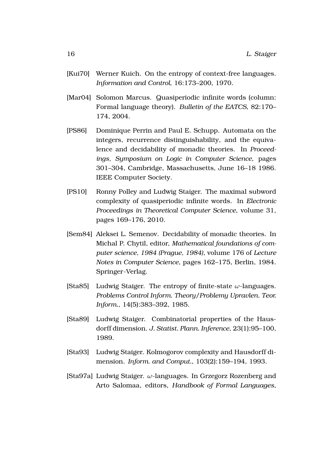- <span id="page-16-5"></span>[Kui70] Werner Kuich. On the entropy of context-free languages. *Information and Control*, 16:173–200, 1970.
- <span id="page-16-0"></span>[Mar04] Solomon Marcus. Quasiperiodic infinite words (column: Formal language theory). *Bulletin of the EATCS*, 82:170– 174, 2004.
- <span id="page-16-4"></span>[PS86] Dominique Perrin and Paul E. Schupp. Automata on the integers, recurrence distinguishability, and the equivalence and decidability of monadic theories. In *Proceedings, Symposium on Logic in Computer Science*, pages 301–304, Cambridge, Massachusetts, June 16–18 1986. IEEE Computer Society.
- <span id="page-16-1"></span>[PS10] Ronny Polley and Ludwig Staiger. The maximal subword complexity of quasiperiodic infinite words. In *Electronic Proceedings in Theoretical Computer Science*, volume 31, pages 169–176, 2010.
- <span id="page-16-3"></span>[Sem84] Aleksei L. Semenov. Decidability of monadic theories. In Michal P. Chytil, editor, *Mathematical foundations of computer science, 1984 (Prague, 1984)*, volume 176 of *Lecture Notes in Computer Science*, pages 162–175, Berlin, 1984. Springer-Verlag.
- <span id="page-16-7"></span>[Sta85] Ludwig Staiger. The entropy of finite-state *ω*-languages. *Problems Control Inform. Theory/Problemy Upravlen. Teor. Inform.*, 14(5):383–392, 1985.
- <span id="page-16-6"></span>[Sta89] Ludwig Staiger. Combinatorial properties of the Hausdorff dimension. *J. Statist. Plann. Inference*, 23(1):95–100, 1989.
- <span id="page-16-2"></span>[Sta93] Ludwig Staiger. Kolmogorov complexity and Hausdorff dimension. *Inform. and Comput.*, 103(2):159–194, 1993.
- <span id="page-16-8"></span>[Sta97a] Ludwig Staiger. *ω*-languages. In Grzegorz Rozenberg and Arto Salomaa, editors, *Handbook of Formal Languages*,